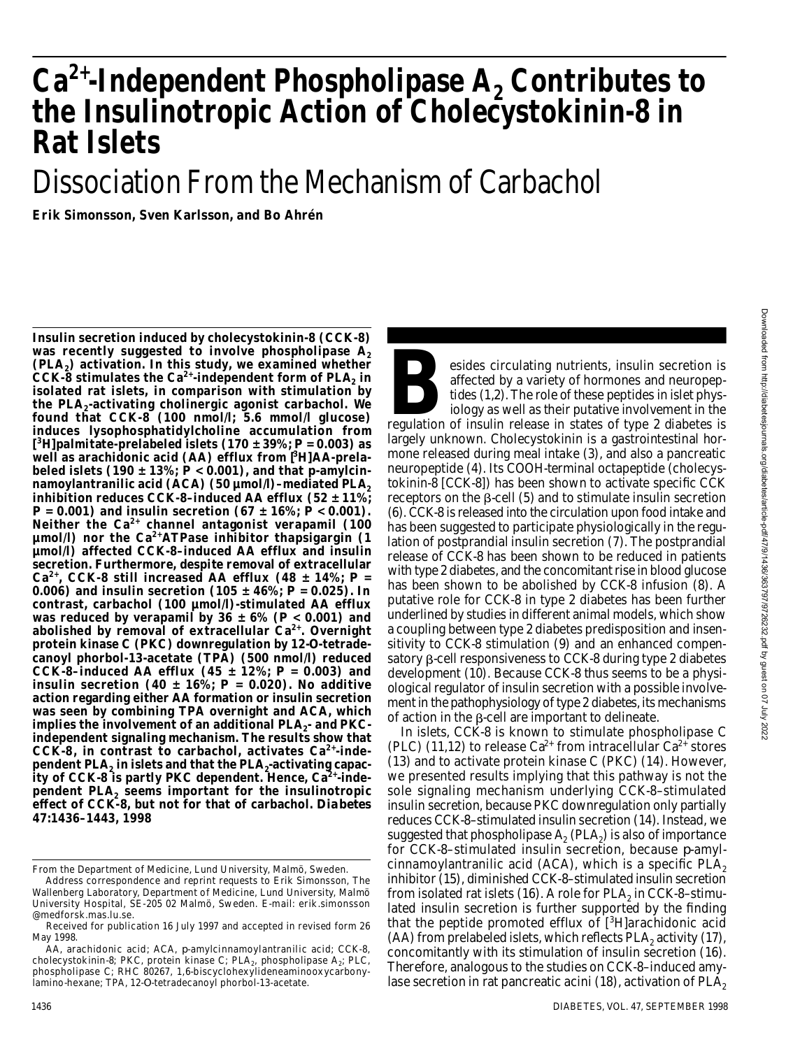## **C a2 +-Independent Phospholipase A<sup>2</sup> Contributes to the Insulinotropic Action of Cholecystokinin-8 in Rat Islets**

# Dissociation From the Mechanism of Carbachol

**Erik Simonsson, Sven Karlsson, and Bo Ahrén**

**Insulin secretion induced by cholecystokinin-8 (CCK-8)** was recently suggested to involve phospholipase A<sub>2</sub> **(PLA2) activation. In this study, we examined whether CCK-8 stimulates the Ca2+-independent form of PLA<sup>2</sup> in isolated rat islets, in comparison with stimulation by the PLA<sup>2</sup> -activating cholinergic agonist carbachol. We found that CCK-8 (100 nmol/l; 5.6 mmol/l glucose) induces lysophosphatidylcholine accumulation from [ <sup>3</sup>H]palmitate-prelabeled islets (170 ± 39%;** *P* **= 0.003) as well as arachidonic acid (AA) efflux from [<sup>3</sup>H]AA-prela**beled islets (190  $\pm$  13%;  $P < 0.001$ ), and that  $p$ -amylcin**namoylantranilic acid (ACA) (50 µmol/l)–mediated PLA<sup>2</sup> inhibition reduces CCK-8–induced AA efflux (52 ± 11%;**  $P = 0.001$ ) and insulin secretion  $(67 \pm 16\%)$ ;  $P < 0.001$ ). Neither the Ca<sup>2+</sup> channel antagonist verapamil (100 **µmol/l) nor the Ca2 +ATPase inhibitor thapsigargin (1 µmol/l) affected CCK-8–induced AA efflux and insulin secretion. Furthermore, despite removal of extracellular** Ca<sup>2+</sup>, CCK-8 still increased AA efflux (48  $\pm$  14%;  $P =$ **0.006) and insulin secretion (105 ± 46%;** *P* **= 0.025). In contrast, carbachol (100 µmol/l)-stimulated AA efflux was reduced by verapamil by 36 ± 6% (***P* **< 0.001) and a b o lished by removal of extracellular Ca2 +. Overnight** protein kinase C (PKC) downregulation by 12-*O*-tetrade**c anoyl phorbol-13-acetate (TPA) (500 nmol/l) reduced CCK-8-induced AA efflux (45**  $\pm$  **12%;**  $P = 0.003$ **) and insulin secretion (40**  $\pm$  **16%;**  $P = 0.020$ **). No additive action regarding either AA formation or insulin secretion was seen by combining TPA overnight and ACA, which** implies the involvement of an additional PLA<sub>2</sub>- and PKC**independent signaling mechanism. The results show that** CCK-8, in contrast to carbachol, activates Ca<sup>2+</sup>-independent PLA<sub>2</sub> in islets and that the PLA<sub>2</sub>-activating capacity of CCK-8 is partly PKC dependent. Hence, Ca<sup>2+</sup>-inde**pendent PLA<sup>2</sup> seems important for the insulinotropic** effect of CCK-8, but not for that of carbachol. *Diabetes* **47:1436–1443, 1998**

esides circulating nutrients, insulin secretion is<br>
affected by a variety of hormones and neuropep-<br>
tides (1,2). The role of these peptides in islet phys-<br>
iology as well as their putative involvement in the<br>
regulation o esides circulating nutrients, insulin secretion is affected by a variety of hormones and neuropeptides (1,2). The role of these peptides in islet physiology as well as their putative involvement in the largely unknown. Cholecystokinin is a gastrointestinal hormone released during meal intake (3), and also a pancreatic neuropeptide (4). Its COOH-terminal octapeptide (cholecystokinin-8 [CCK-8]) has been shown to activate specific CCK receptors on the  $\beta$ -cell (5) and to stimulate insulin secretion (6). CCK-8 is released into the circulation upon food intake and has been suggested to participate physiologically in the regulation of postprandial insulin secretion (7). The postprandial release of CCK-8 has been shown to be reduced in patients with type 2 diabetes, and the concomitant rise in blood glucose has been shown to be abolished by CCK-8 infusion (8). A putative role for CCK-8 in type 2 diabetes has been further underlined by studies in different animal models, which show a coupling between type 2 diabetes predisposition and insensitivity to CCK-8 stimulation (9) and an enhanced compensatory  $\beta$ -cell responsiveness to CCK-8 during type 2 diabetes development (10). Because CCK-8 thus seems to be a physiological regulator of insulin secretion with a possible involvement in the pathophysiology of type 2 diabetes, its mechanisms of action in the  $\beta$ -cell are important to delineate.

In islets, CCK-8 is known to stimulate phospholipase C (PLC) (11,12) to release Ca<sup>2+</sup> from intracellular Ca<sup>2+</sup> stores (13) and to activate protein kinase C (PKC) (14). However, we presented results implying that this pathway is not the sole signaling mechanism underlying CCK-8–stimulated insulin secretion, because PKC downregulation only partially reduces CCK-8–stimulated insulin secretion (14). Instead, we suggested that phospholipase  $\mathsf{A}_2$  (PLA $_2$ ) is also of importance for CCK-8-stimulated insulin secretion, because *p*-amylcinnamoylantranilic acid (ACA), which is a specific PLA<sub>2</sub> inhibitor (15), diminished CCK-8–stimulated insulin secretion from isolated rat islets (16). A role for PLA $_{\rm 2}$  in CCK-8–stimulated insulin secretion is further supported by the finding that the peptide promoted efflux of  $[^{3}H]$ arachidonic acid (AA) from prelabeled islets, which reflects  $\mathsf{PLA}_2$  activity (17), concomitantly with its stimulation of insulin secretion (16). Therefore, analogous to the studies on CCK-8–induced amylase secretion in rat pancreatic acini (18), activation of  $PLA<sub>2</sub>$ 

From the Department of Medicine, Lund University, Malmö, Sweden.

Address correspondence and reprint requests to Erik Simonsson, The Wallenberg Laboratory, Department of Medicine, Lund University, Malmö University Hospital, SE-205 02 Malmö, Sweden. E-mail: erik.simonsson @ med forsk.mas.lu.se.

Received for publication 16 July 1997 and accepted in revised form 26 May 1998.

AA, arachidonic acid; ACA, *p*-amylcinnamoylantranilic acid; CCK-8, cholecystokinin-8; PKC, protein kinase C; PLA $_2$ , phospholipase A $_2^{\cdot}$  PLC, phospholipase C; RHC 80267, 1,6-biscyclohexylideneaminooxycarbonylamino-hexane; TPA, 12-*O*-tetradecanoyl phorbol-13-acetate.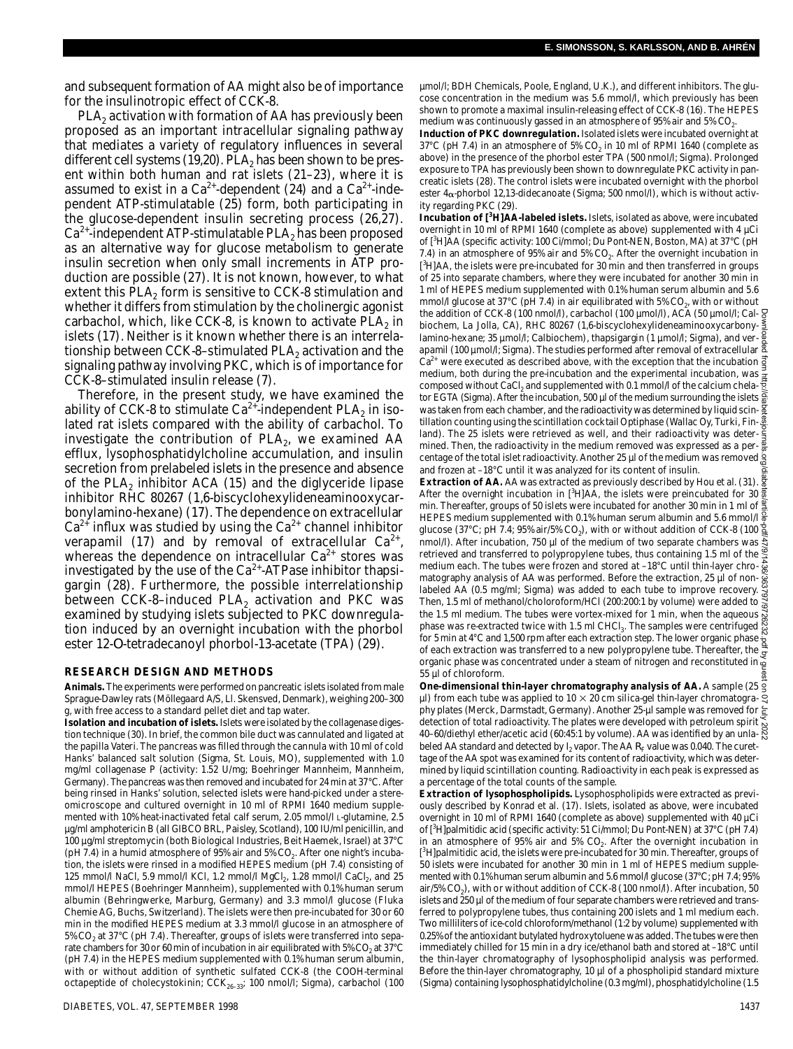and subsequent formation of AA might also be of importance for the insulinotropic effect of CCK-8.

PLA $_{\rm 2}$  activation with formation of AA has previously been proposed as an important intracellular signaling pathway that mediates a variety of regulatory influences in several different cell systems (19,20). PLA<sub>2</sub> has been shown to be present within both human and rat islets (21–23), where it is assumed to exist in a  $Ca^{2+}$ -dependent (24) and a  $Ca^{2+}$ -independent ATP-stimulatable (25) form, both participating in the glucose-dependent insulin secreting process (26,27).  $Ca<sup>2+</sup>$ -independent ATP-stimulatable PLA<sub>2</sub> has been proposed as an alternative way for glucose metabolism to generate insulin secretion when only small increments in ATP production are possible (27). It is not known, however, to what extent this PLA $_{\rm 2}$  form is sensitive to CCK-8 stimulation and whether it differs from stimulation by the cholinergic agonist carbachol, which, like CCK-8, is known to activate PLA $_{\rm 2}$  in islets (17). Neither is it known whether there is an interrelationship between CCK-8-stimulated  $PLA<sub>2</sub>$  activation and the signaling pathway involving PKC, which is of importance for CCK-8–stimulated insulin release (7).

Therefore, in the present study, we have examined the ability of CCK-8 to stimulate Ca $^{2+}$ -independent PLA $_2$  in isolated rat islets compared with the ability of carbachol. To investigate the contribution of  $PLA<sub>2</sub>$ , we examined AA efflux, lysophosphatidylcholine accumulation, and insulin secretion from prelabeled islets in the presence and absence of the PLA<sub>2</sub> inhibitor ACA (15) and the diglyceride lipase inhibitor RHC 80267 (1,6-biscyclohexylideneaminooxycarbonylamino-hexane) (17). The dependence on extracellular  $Ca<sup>2+</sup>$  influx was studied by using the  $Ca<sup>2+</sup>$  channel inhibitor verapamil (17) and by removal of extracellular  $Ca^{2+}$ , whereas the dependence on intracellular  $Ca^{2+}$  stores was investigated by the use of the  $Ca^{2+}$ -ATPase inhibitor thapsigargin (28). Furthermore, the possible interrelationship between CCK-8-induced PLA<sub>2</sub> activation and PKC was examined by studying islets subjected to PKC downregulation induced by an overnight incubation with the phorbol ester 12-*O*-tetradecanoyl phorbol-13-acetate (TPA) (29).

#### **RESEARCH DESIGN AND METHODS**

Animals. The experiments were performed on pancreatic islets isolated from male Sprague-Dawley rats (Möllegaard A/S, Ll. Skensved, Denmark), weighing 200–300 g, with free access to a standard pellet diet and tap water.

**Isolation and incubation of islets.**Islets were isolated by the collagenase digestion technique (30). In brief, the common bile duct was cannulated and ligated at the papilla Vateri. The pancreas was filled through the cannula with 10 ml of cold Hanks' balanced salt solution (Sigma, St. Louis, MO), supplemented with 1.0 mg/ml collagenase P (activity: 1.52 U/mg; Boehringer Mannheim, Mannheim, Germany). The pancreas was then removed and incubated for 24 min at 37°C. After being rinsed in Hanks' solution, selected islets were hand-picked under a stereomicroscope and cultured overnight in 10 ml of RPMI 1640 medium supplemented with 10% heat-inactivated fetal calf serum, 2.05 mmol/l L-glutamine, 2.5 µg/ml amphotericin B (all GIBCO BRL, Paisley, Scotland), 100 IU/ml penicillin, and 100 µg/ml streptomycin (both Biological Industries, Beit Haemek, Israel) at 37°C (pH 7.4) in a humid atmosphere of 95% air and 5% CO<sub>2</sub>. After one night's incubation, the islets were rinsed in a modified HEPES medium (pH 7.4) consisting of 125 mmol/l NaCl, 5.9 mmol/l KCl, 1.2 mmol/l MgCl<sub>2</sub>, 1.28 mmol/l CaCl<sub>2</sub>, and 25 mmol/l HEPES (Boehringer Mannheim), supplemented with 0.1% human serum albumin (Behringwerke, Marburg, Germany) and 3.3 mmol/l glucose (Fluka Chemie AG, Buchs, Switzerland). The islets were then pre-incubated for 30 or 60 min in the modified HEPES medium at 3.3 mmol/l glucose in an atmosphere of 5% CO $_2$  at 37°C (pH 7.4). Thereafter, groups of islets were transferred into separate chambers for 30 or 60 min of incubation in air equilibrated with 5%  $CO<sub>2</sub>$  at 37°C (pH 7.4) in the HEPES medium supplemented with 0.1% human serum albumin, with or without addition of synthetic sulfated CCK-8 (the COOH-terminal octapeptide of cholecystokinin;  $CCK_{26-33}$ ; 100 nmol/l; Sigma), carbachol (100 µmol/l; BDH Chemicals, Poole, England, U.K.), and different inhibitors. The glucose concentration in the medium was 5.6 mmol/l, which previously has been shown to promote a maximal insulin-releasing effect of CCK-8 (16). The HEPES medium was continuously gassed in an atmosphere of 95% air and 5% CO $_{\textrm{\tiny{2}}}$ .

**Induction of PKC downregulation.**Isolated islets were incubated overnight at 37°C (pH 7.4) in an atmosphere of 5% CO<sub>2</sub> in 10 mI of RPMI 1640 (complete as above) in the presence of the phorbol ester TPA (500 nmol/l; Sigma). Prolonged exposure to TPA has previously been shown to downregulate PKC activity in pancreatic islets (28). The control islets were incubated overnight with the phorbol ester  $4\alpha$ -phorbol 12,13-didecanoate (Sigma; 500 nmol/I), which is without activity regarding PKC (29).

**Incubation of [<sup>3</sup>H]AA-labeled islets.**Islets, isolated as above, were incubated overnight in 10 ml of RPMI 1640 (complete as above) supplemented with 4 µCi of [<sup>3</sup>H]AA (specific activity: 100 Ci/mmol; Du Pont-NEN, Boston, MA) at 37°C (pH 7.4) in an atmosphere of 95% air and 5%  $CO<sub>2</sub>$ . After the overnight incubation in [<sup>3</sup>H]AA, the islets were pre-incubated for 30 min and then transferred in groups of 25 into separate chambers, where they were incubated for another 30 min in 1 ml of HEPES medium supplemented with 0.1% human serum albumin and 5.6 mmol/l glucose at 37°C (pH 7.4) in air equilibrated with 5% CO $_{\textrm{\tiny{2}}}$ , with or without the addition of CCK-8 (100 nmol/l), carbachol (100 µmol/l), ACA (50 µmol/l; Cal- § biochem, La Jolla, CA), RHC 80267 (1,6-biscyclohexylideneaminooxycarbonylamino-hexane; 35 µmol/l; Calbiochem), thapsigargin (1 µmol/l; Sigma), and verapamil (100 µmol/l; Sigma). The studies performed after removal of extracellular  $\overline{2}$  $Ca^{2+}$  were executed as described above, with the exception that the incubation  $\vec{q}$ medium, both during the pre-incubation and the experimental incubation, was  $\frac{3}{2}$ composed without CaCl $_2$  and supplemented with 0.1 mmol/l of the calcium chelator EGTA (Sigma). After the incubation, 500 µl of the medium surrounding the islets a was taken from each chamber, and the radioactivity was determined by liquid scintillation counting using the scintillation cocktail Optiphase (Wallac Oy, Turki, Fin- $\frac{5}{9}$ land). The 25 islets were retrieved as well, and their radioactivity was determined. Then, the radioactivity in the medium removed was expressed as a percentage of the total islet radioactivity. Another 25 µl of the medium was removed g and frozen at –18°C until it was analyzed for its content of insulin.

**Extraction of AA.** AA was extracted as previously described by Hou et al. (31). After the overnight incubation in [3H]AA, the islets were preincubated for 30  $\frac{3}{8}$ min. Thereafter, groups of 50 islets were incubated for another 30 min in 1 ml of HEPES medium supplemented with 0.1% human serum albumin and 5.6 mmol/l  $\frac{2}{9}$ glucose (37°C; pH 7.4; 95% air/5% CO $_2$ ), with or without addition of CCK-8 (100  $\,$ nmol/l). After incubation, 750 µl of the medium of two separate chambers was  $\frac{3}{5}$ retrieved and transferred to polypropylene tubes, thus containing 1.5 ml of the  $\frac{8}{5}$ medium each. The tubes were frozen and stored at –18°C until thin-layer chromatography analysis of AA was performed. Before the extraction, 25 µl of nonlabeled AA (0.5 mg/ml; Sigma) was added to each tube to improve recovery. Then, 1.5 ml of methanol/choloroform/HCl (200:200:1 by volume) were added to the 1.5 ml medium. The tubes were vortex-mixed for 1 min, when the aqueous phase was re-extracted twice with 1.5 ml CHCl $_{3}$ . The samples were centrifuged for 5 min at 4°C and 1,500 rpm after each extraction step. The lower organic phase of each extraction was transferred to a new polypropylene tube. Thereafter, the organic phase was concentrated under a steam of nitrogen and reconstituted in 55 µl of chloroform. the addition of CK-R (100 mmol/), Orthodosphatid (100 ymoth), CaC (50 ymoth), and the measurable measure 3 mg/ml), the substitute (1.5 mg/ml), the substitute of the containing lysophosphatid (1.5 Downloaded as decreased a

**One-dimensional thin-layer chromatography analysis of AA.** A sample (25  $\mu$ ) from each tube was applied to 10  $\times$  20 cm silica-gel thin-layer chromatogra-  $\Im$ phy plates (Merck, Darmstadt, Germany). Another 25-µl sample was removed for detection of total radioactivity. The plates were developed with petroleum spirit  $\frac{8}{6}$ 40–60/diethyl ether/acetic acid (60:45:1 by volume). AA was identified by an unla-  $\breve{\aleph}$ beled AA standard and detected by I $_2$  vapor. The AA  $R_{\rm F}$  value was 0.040. The curettage of the AA spot was examined for its content of radioactivity, which was determined by liquid scintillation counting. Radioactivity in each peak is expressed as a percentage of the total counts of the sample.

**Extraction of lysophospholipids.** Lysophospholipids were extracted as previously described by Konrad et al. (17). Islets, isolated as above, were incubated overnight in 10 ml of RPMI 1640 (complete as above) supplemented with 40 µCi of [<sup>3</sup>H]palmitidic acid (specific activity: 51 Ci/mmol; Du Pont-NEN) at 37°C (pH 7.4) in an atmosphere of 95% air and 5%  $CO<sub>2</sub>$ . After the overnight incubation in [<sup>3</sup>H]palmitidic acid, the islets were pre-incubated for 30 min. Thereafter, groups of 50 islets were incubated for another 30 min in 1 ml of HEPES medium supplemented with 0.1% human serum albumin and 5.6 mmol/l glucose (37°C; pH 7.4; 95% air/5% CO $_2$ ), with or without addition of CCK-8 (100 nmol/l). After incubation, 50 islets and 250 µl of the medium of four separate chambers were retrieved and transferred to polypropylene tubes, thus containing 200 islets and 1 ml medium each. Two milliliters of ice-cold chloroform/methanol (1:2 by volume) supplemented with 0.25% of the antioxidant butylated hydroxytoluene was added. The tubes were then immediately chilled for 15 min in a dry ice/ethanol bath and stored at –18°C until the thin-layer chromatography of lysophospholipid analysis was performed. Before the thin-layer chromatography, 10 µl of a phospholipid standard mixture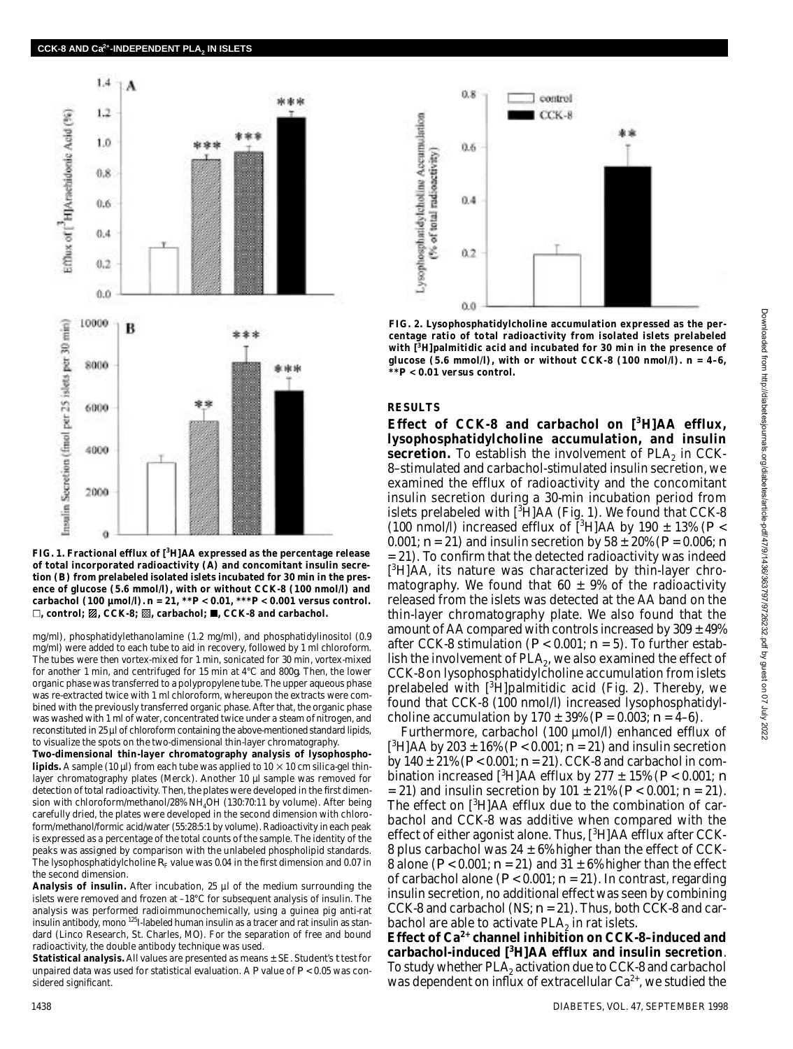

**FIG. 1. Fractional efflux of [<sup>3</sup>H]AA expressed as the percentage release of total incorporated radioactivity (***A***) and concomitant insulin secretion (***B***) from prelabeled isolated islets incubated for 30 min in the presence of glucose (5.6 mmol/l), with or without CCK-8 (100 nmol/l) and carbachol (100 µmol/l).** *n* **= 21, \*\****P* **< 0.01, \*\*\****P* **< 0.001 versus control.**  $\square$ , control;  $\mathbb{Z}$ , CCK-8;  $\mathbb{Z}$ , carbachol;  $\blacksquare$ , CCK-8 and carbachol.

mg/ml), phosphatidylethanolamine (1.2 mg/ml), and phosphatidylinositol (0.9 mg/ml) were added to each tube to aid in recovery, followed by 1 ml chloroform. The tubes were then vortex-mixed for 1 min, sonicated for 30 min, vortex-mixed for another 1 min, and centrifuged for 15 min at 4°C and 800*g*. Then, the lower organic phase was transferred to a polypropylene tube. The upper aqueous phase was re-extracted twice with 1 ml chloroform, whereupon the extracts were combined with the previously transferred organic phase. After that, the organic phase was washed with 1 ml of water, concentrated twice under a steam of nitrogen, and reconstituted in 25 µl of chloroform containing the above-mentioned standard lipids, to visualize the spots on the two-dimensional thin-layer chromatography.

**Two-dimensional thin-layer chromatography analysis of lysophospholipids.** A sample (10 µl) from each tube was applied to  $10 \times 10$  cm silica-gel thinlayer chromatography plates (Merck). Another 10 µl sample was removed for detection of total radioactivity. Then, the plates were developed in the first dimension with chloroform/methanol/28% NH<sub>4</sub>OH (130:70:11 by volume). After being carefully dried, the plates were developed in the second dimension with chloroform/methanol/formic acid/water (55:28:5:1 by volume). Radioactivity in each peak is expressed as a percentage of the total counts of the sample. The identity of the peaks was assigned by comparison with the unlabeled phospholipid standards. The lysophosphatidylcholine  $R<sub>F</sub>$  value was 0.04 in the first dimension and 0.07 in the second dimension.

**Analysis of insulin.** After incubation, 25 µl of the medium surrounding the islets were removed and frozen at –18°C for subsequent analysis of insulin. The analysis was performed radioimmunochemically, using a guinea pig anti-rat insulin antibody, mono <sup>125</sup>I-labeled human insulin as a tracer and rat insulin as standard (Linco Research, St. Charles, MO). For the separation of free and bound radioactivity, the double antibody technique was used.

**Statistical analysis.**All values are presented as means ± SE. Student's *t* test for unpaired data was used for statistical evaluation. A *P* value of *P* < 0.05 was considered significant.



**FIG. 2. Lysophosphatidylcholine accumulation expressed as the percentage ratio of total radioactivity from isolated islets prelabeled with [<sup>3</sup>H]palmitidic acid and incubated for 30 min in the presence of** glucose (5.6 mmol/l), with or without CCK-8 (100 nmol/l).  $n = 4-6$ ,  $\star$ **P**  $\leq$  0.01 weeks and  $\star$ **P \* \****P* **< 0.01 versus control.**

## **RESULTS**

**Effect of CCK-8 and carbachol on [<sup>3</sup>H]AA efflux, lysophosphatidylcholine accumulation, and insulin** secretion. To establish the involvement of PLA<sub>2</sub> in CCK-8–stimulated and carbachol-stimulated insulin secretion, we examined the efflux of radioactivity and the concomitant insulin secretion during a 30-min incubation period from islets prelabeled with  $[{}^{3}H]AA$  (Fig. 1). We found that CCK-8 (100 nmol/l) increased efflux of  $\binom{3}{1}$ AA by 190  $\pm$  13% (*P* < 0.001; *n* = 21) and insulin secretion by 58 ± 20% (*P* = 0.006; *n* = 21). To confirm that the detected radioactivity was indeed [<sup>3</sup>H]AA, its nature was characterized by thin-layer chromatography. We found that 60  $\pm$  9% of the radioactivity released from the islets was detected at the AA band on the thin-layer chromatography plate. We also found that the amount of AA compared with controls increased by  $309 \pm 49\%$ after CCK-8 stimulation ( $P < 0.001$ ;  $n = 5$ ). To further establish the involvement of  $PLA_2$ , we also examined the effect of CCK-8 on lysophosphatidylcholine accumulation from islets prelabeled with  $[3H]$ palmitidic acid (Fig. 2). Thereby, we found that CCK-8 (100 nmol/l) increased lysophosphatidylcholine accumulation by  $170 \pm 39\%$  ( $P = 0.003$ ;  $n = 4-6$ ).

Furthermore, carbachol (100 µmol/l) enhanced efflux of  $[^3H]$ AA by 203 ± 16% ( $P < 0.001$ ;  $n = 21$ ) and insulin secretion by 140 ± 21% (*P* < 0.001; *n* = 21). CCK-8 and carbachol in combination increased  $\binom{3}{1}$ AA efflux by 277  $\pm$  15% ( $P < 0.001$ ; *n* = 21) and insulin secretion by 101 ± 21% (*P* < 0.001; *n* = 21). The effect on  $[3H]AA$  efflux due to the combination of carbachol and CCK-8 was additive when compared with the effect of either agonist alone. Thus,  $\lceil \sqrt[3]{\text{H}} \rceil$ AA efflux after CCK-8 plus carbachol was  $24 \pm 6\%$  higher than the effect of CCK-8 alone ( $P < 0.001$ ;  $n = 21$ ) and  $31 \pm 6\%$  higher than the effect of carbachol alone (*P* < 0.001; *n* = 21). In contrast, regarding insulin secretion, no additional effect was seen by combining CCK-8 and carbachol (NS;  $n = 21$ ). Thus, both CCK-8 and carbachol are able to activate  $PLA_2$  in rat islets.

**E ffect of Ca2 + channel inhibition on CCK-8–induced and carbachol-induced [<sup>3</sup>H]AA efflux and insulin secretion**. To study whether  $PLA_2$  activation due to CCK-8 and carbachol was dependent on influx of extracellular  $Ca^{2+}$ , we studied the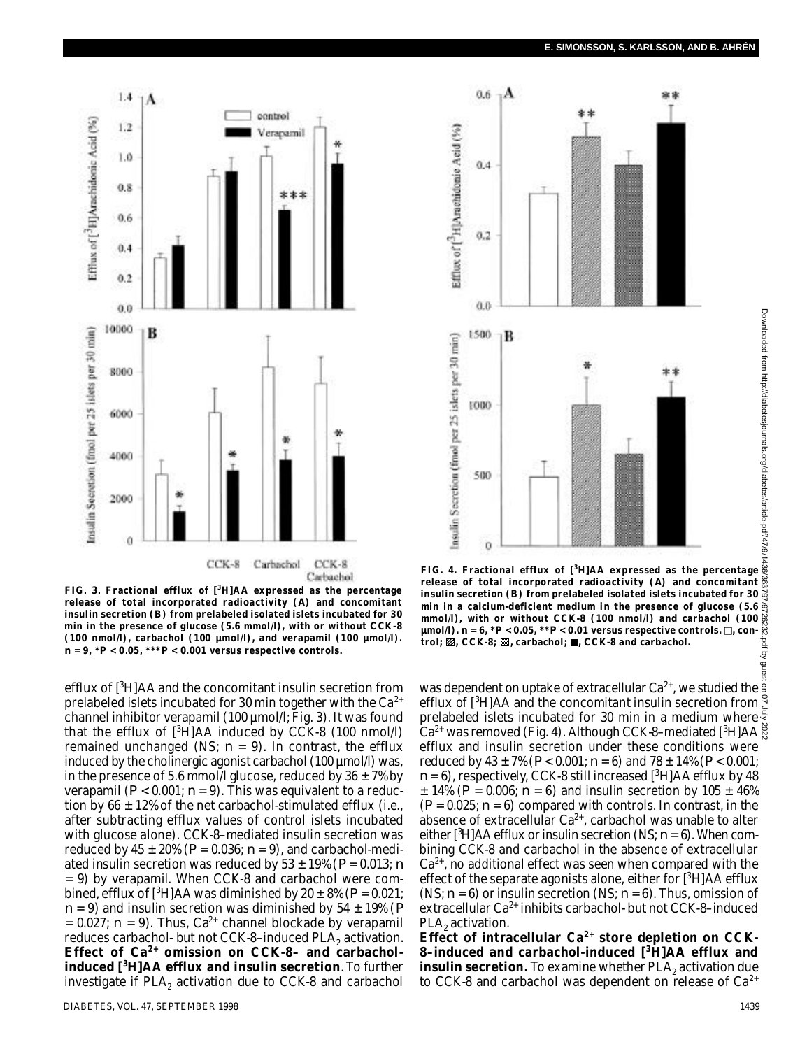

**FIG. 3. Fractional efflux of [<sup>3</sup>H]AA expressed as the percentage release of total incorporated radioactivity (***A***) and concomitant insulin secretion (***B***) from prelabeled isolated islets incubated for 30 min in the presence of glucose (5.6 mmol/l), with or without CCK-8 (100 nmol/l), carbachol (100 µmol/l), and verapamil (100 µmol/l).**   $n = 9, *P < 0.05, **P < 0.001$  versus respective controls.

efflux of [<sup>3</sup>H]AA and the concomitant insulin secretion from prelabeled islets incubated for 30 min together with the  $Ca^{2+}$ channel inhibitor verapamil (100 µmol/l; Fig. 3). It was found that the efflux of  $[3H]AA$  induced by CCK-8 (100 nmol/l) remained unchanged (NS;  $n = 9$ ). In contrast, the efflux induced by the cholinergic agonist carbachol (100 µmol/l) was, in the presence of 5.6 mmol/l glucose, reduced by  $36 \pm 7\%$  by verapamil  $(P < 0.001; n = 9)$ . This was equivalent to a reduction by 66  $\pm$  12% of the net carbachol-stimulated efflux (i.e., after subtracting efflux values of control islets incubated with glucose alone). CCK-8–mediated insulin secretion was reduced by  $45 \pm 20\%$  ( $P = 0.036$ ;  $n = 9$ ), and carbachol-mediated insulin secretion was reduced by  $53 \pm 19\%$  ( $P = 0.013$ ; *n*  $= 9$ ) by verapamil. When CCK-8 and carbachol were combined, efflux of  $[{}^{3}H]AA$  was diminished by  $20 \pm 8\%$  ( $P = 0.021$ ; *n* = 9) and insulin secretion was diminished by 54 ± 19% (*P*  $= 0.027$ ;  $n = 9$ ). Thus, Ca<sup>2+</sup> channel blockade by verapamil reduces carbachol- but not CCK-8–induced PLA<sub>2</sub> activation. Effect of Ca<sup>2+</sup> omission on CCK-8- and carbachol**induced [<sup>3</sup>H]AA efflux and insulin secretion**. To further investigate if  $PLA_2$  activation due to CCK-8 and carbachol





**FIG. 4. Fractional efflux of [<sup>3</sup>H]AA expressed as the percentage release of total incorporated radioactivity (***A***) and concomitant insulin secretion (***B***) from prelabeled isolated islets incubated for 30 min in a calcium-deficient medium in the presence of glucose (5.6 mmol/l), with or without CCK-8 (100 nmol/l) and carbachol (100**  $\mu$ mol/l).  $n = 6$ ,  ${}^{\star}P < 0.05$ ,  ${}^{\star\star}P < 0.01$  versus respective controls.  $\square$ , con**trol; ⊠, CCK-8; ⊠, carbachol; ■, CCK-8 and carbachol.** 

was dependent on uptake of extracellular Ca $^{2+}$ , we studied the efflux of [ $3H$ ]AA and the concomitant insulin secretion from  $\frac{5}{2}$ prelabeled islets incubated for 30 min in a medium where  $\frac{3}{5}$  $Ca^{2+}$  was removed (Fig. 4). Although CCK-8-mediated [ $3H$ ]AA efflux and insulin secretion under these conditions were reduced by  $43 \pm 7\%$  ( $P < 0.001$ ;  $n = 6$ ) and  $78 \pm 14\%$  ( $P < 0.001$ ;  $n=6$ , respectively, CCK-8 still increased  $[^3$ H]AA efflux by 48  $\pm$  14% (*P* = 0.006; *n* = 6) and insulin secretion by 105  $\pm$  46%  $(P = 0.025; n = 6)$  compared with controls. In contrast, in the absence of extracellular  $Ca^{2+}$ , carbachol was unable to alter either  $\lceil \sqrt[3]{H} \rceil$ AA efflux or insulin secretion (NS;  $n = 6$ ). When combining CCK-8 and carbachol in the absence of extracellular  $Ca<sup>2+</sup>$ , no additional effect was seen when compared with the effect of the separate agonists alone, either for  $[^{3}H]AA$  efflux (NS; *n* = 6) or insulin secretion (NS; *n* = 6). Thus, omission of extracellular  $Ca^{2+}$  inhibits carbachol- but not CCK-8–induced  $\mathsf{PLA}_2$  activation.

Effect of intracellular Ca<sup>2+</sup> store depletion on CCK-**8–induced and carbachol-induced [<sup>3</sup>H]AA efflux and insulin secretion.** To examine whether PLA<sub>2</sub> activation due to CCK-8 and carbachol was dependent on release of  $Ca^{2+}$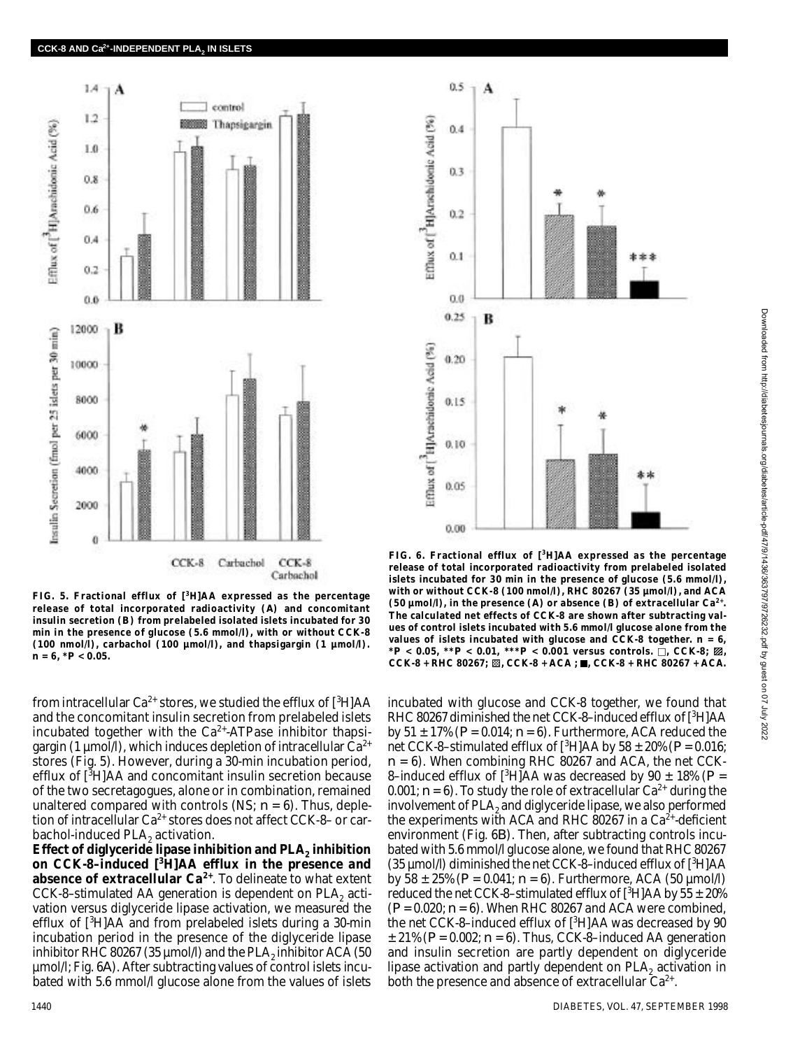

**FIG. 5. Fractional efflux of [<sup>3</sup>H]AA expressed as the percentage release of total incorporated radioactivity (***A***) and concomitant insulin secretion (***B***) from prelabeled isolated islets incubated for 30 min in the presence of glucose (5.6 mmol/l), with or without CCK-8 (100 nmol/l), carbachol (100 µmol/l), and thapsigargin (1 µmol/l).**   $n = 6, *P < 0.05$ .

from intracellular  $Ca^{2+}$  stores, we studied the efflux of  $[{}^{3}H]AA$ and the concomitant insulin secretion from prelabeled islets incubated together with the  $Ca<sup>2+</sup>$ -ATPase inhibitor thapsigargin (1 µmol/l), which induces depletion of intracellular  $Ca^{2+}$ stores (Fig. 5). However, during a 30-min incubation period, efflux of  $[3H]AA$  and concomitant insulin secretion because of the two secretagogues, alone or in combination, remained unaltered compared with controls (NS; *n* = 6). Thus, depletion of intracellular  $Ca^{2+}$  stores does not affect CCK-8- or carbachol-induced  $PLA_2$  activation.

**Effect of diglyceride lipase inhibition and PLA<sub>2</sub> inhibition on CCK-8–induced [<sup>3</sup>H]AA efflux in the presence and** absence of extracellular Ca<sup>2+</sup>. To delineate to what extent CCK-8–stimulated AA generation is dependent on PLA<sub>2</sub> activation versus diglyceride lipase activation, we measured the efflux of  $\int^3 H$ ]AA and from prelabeled islets during a 30-min incubation period in the presence of the diglyceride lipase inhibitor RHC 80267 (35  $\mu$ mol/l) and the PLA $_2$  inhibitor ACA (50 µmol/l; Fig. 6*A*). After subtracting values of control islets incubated with 5.6 mmol/l glucose alone from the values of islets



**FIG. 6. Fractional efflux of [<sup>3</sup>H]AA expressed as the percentage release of total incorporated radioactivity from prelabeled isolated islets incubated for 30 min in the presence of glucose (5.6 mmol/l), with or without CCK-8 (100 nmol/l), RHC 80267 (35 µmol/l), and ACA** (50  $\mu$ mol/l), in the presence (*A*) or absence (*B*) of extracellular Ca<sup>2+</sup>. **The calculated net effects of CCK-8 are shown after subtracting values of control islets incubated with 5.6 mmol/l glucose alone from the** values of islets incubated with glucose and CCK-8 together.  $n = 6$ ,  $*P < 0.05$ ,  $*P < 0.01$ ,  $**P < 0.001$  versus controls.  $\Box$ , CCK-8;  $\mathbb{Z}$ ,  $CCK-8 + RHC 80267;$   $M_{1}CCK-8 + ACA$ ;  $M_{1}CCK-8 + RHC 80267 + ACA$ .

incubated with glucose and CCK-8 together, we found that RHC 80267 diminished the net CCK-8-induced efflux of [3H]AA by  $51 \pm 17\%$  ( $P = 0.014$ ;  $n = 6$ ). Furthermore, ACA reduced the net CCK-8–stimulated efflux of  $\int^3 H$ ]AA by 58 ± 20% ( $P = 0.016$ ; *n* = 6). When combining RHC 80267 and ACA, the net CCK-8-induced efflux of  $[^{3}H]AA$  was decreased by 90  $\pm$  18% ( $P =$ 0.001;  $n = 6$ ). To study the role of extracellular Ca<sup>2+</sup> during the involvement of PLA $_{\rm 2}$  and diglyceride lipase, we also performed the experiments with ACA and RHC 80267 in a  $Ca<sup>2+</sup>$ -deficient environment (Fig. 6*B*). Then, after subtracting controls incubated with 5.6 mmol/l glucose alone, we found that RHC 80267 (35  $\mu$ mol/l) diminished the net CCK-8-induced efflux of  $[^3$ H]AA by 58  $\pm$  25% ( $P = 0.041$ ;  $n = 6$ ). Furthermore, ACA (50  $\mu$ mol/l) reduced the net CCK-8–stimulated efflux of  $[{}^{3}H]AA$  by 55  $\pm$  20% (*P* = 0.020; *n* = 6). When RHC 80267 and ACA were combined, the net CCK-8–induced efflux of  $[{}^{3}H]AA$  was decreased by 90  $\pm$  21% ( $P = 0.002$ ;  $n = 6$ ). Thus, CCK-8-induced AA generation and insulin secretion are partly dependent on diglyceride lipase activation and partly dependent on  $PLA_2$  activation in both the presence and absence of extracellular  $Ca^{2+}$ .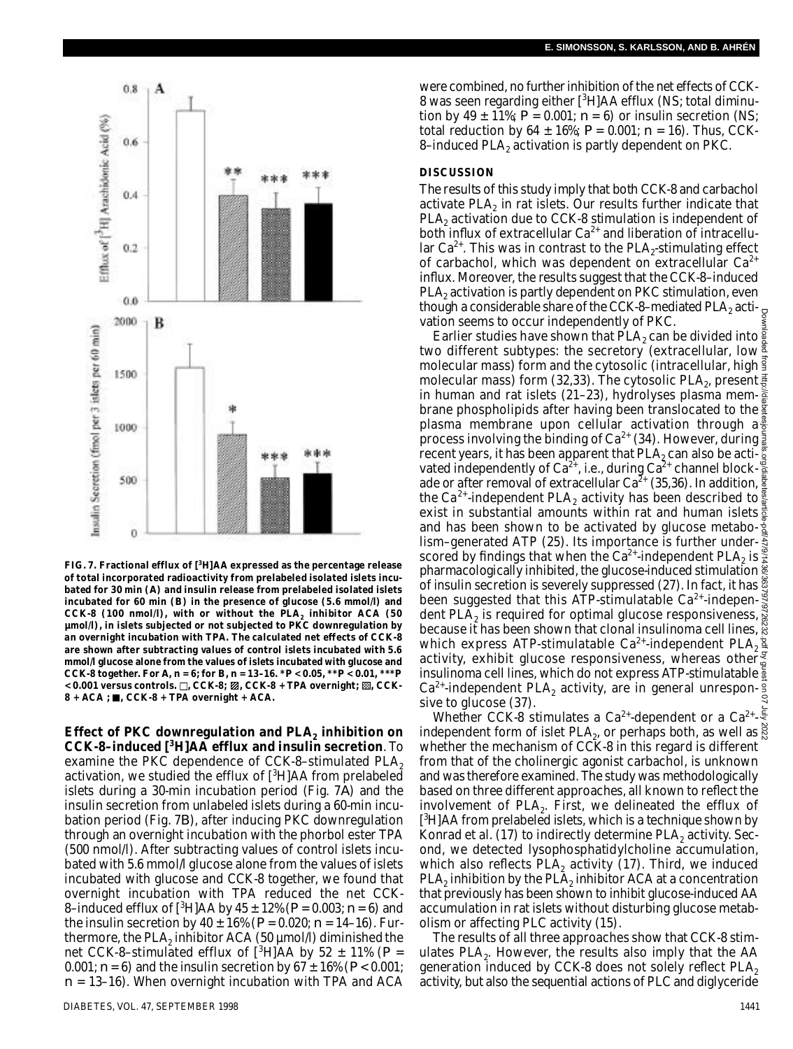

**FIG. 7. Fractional efflux of [<sup>3</sup>H]AA expressed as the percentage release of total incorporated radioactivity from prelabeled isolated islets incubated for 30 min (***A***) and insulin release from prelabeled isolated islets incubated for 60 min (***B***) in the presence of glucose (5.6 mmol/l) and CCK-8 (100 nmol/l), with or without the PLA<sup>2</sup> inhibitor ACA (50 µmol/l), in islets subjected or not subjected to PKC downregulation by an overnight incubation with TPA. The calculated net effects of CCK-8 are shown after subtracting values of control islets incubated with 5.6 mmol/l glucose alone from the values of islets incubated with glucose and CCK-8 together. For** *A***,** *n* **= 6; for** *B***,** *n* **= 13–16. \****P* **< 0.05, \*\****P* **< 0.01, \*\*\****P* **< 0.001 versus controls. , CCK-8; , CCK-8 + TPA overnight; , CCK-8 + ACA ; , CCK-8 + TPA overnight + ACA.**

**E ffect of PKC downregulation and PLA<sup>2</sup> inhibition on CCK-8–induced [<sup>3</sup>H]AA efflux and insulin secretion**. To examine the PKC dependence of CCK-8-stimulated  $PLA<sub>2</sub>$ activation, we studied the efflux of  $[3H]AA$  from prelabeled islets during a 30-min incubation period (Fig. 7*A*) and the insulin secretion from unlabeled islets during a 60-min incubation period (Fig. 7*B*), after inducing PKC downregulation through an overnight incubation with the phorbol ester TPA (500 nmol/l). After subtracting values of control islets incubated with 5.6 mmol/l glucose alone from the values of islets incubated with glucose and CCK-8 together, we found that overnight incubation with TPA reduced the net CCK-8–induced efflux of [<sup>3</sup>H]AA by 45 ± 12% (*P* = 0.003; *n* = 6) and the insulin secretion by  $40 \pm 16\%$  ( $P = 0.020$ ;  $n = 14-16$ ). Furthermore, the PLA $_2$  inhibitor ACA (50 µmol/l) diminished the net CCK-8–stimulated efflux of  $[{}^{3}H]AA$  by 52  $\pm$  11% ( $P =$ 0.001;  $n = 6$ ) and the insulin secretion by  $67 \pm 16\%$  ( $P < 0.001$ ; *n* = 13–16). When overnight incubation with TPA and ACA

were combined, no further inhibition of the net effects of CCK-8 was seen regarding either [<sup>3</sup>H]AA efflux (NS; total diminution by 49  $\pm$  11%;  $P = 0.001$ ;  $n = 6$ ) or insulin secretion (NS; total reduction by 64  $\pm$  16%;  $P = 0.001$ ;  $n = 16$ ). Thus, CCK-8–induced PLA $_{\rm 2}$  activation is partly dependent on PKC.

#### **DISCUSSION**

The results of this study imply that both CCK-8 and carbachol activate PLA $_2$  in rat islets. Our results further indicate that  $PLA<sub>2</sub>$  activation due to CCK-8 stimulation is independent of both influx of extracellular  $Ca^{2+}$  and liberation of intracellular  $Ca^{2+}$ . This was in contrast to the PLA<sub>2</sub>-stimulating effect of carbachol, which was dependent on extracellular  $Ca^{2+}$ in flux. Moreover, the results suggest that the CCK-8-induced PLA $_{\rm 2}$  activation is partly dependent on PKC stimulation, even though a considerable share of the CCK-8–mediated PLA $_{\rm 2}$  activation seems to occur independently of PKC.

Earlier studies have shown that PLA<sub>2</sub> can be divided into  $\frac{5}{8}$ two different subtypes: the secretory (extracellular, low molecular mass) form and the cytosolic (intracellular, high molecular mass) form (32,33). The cytosolic PLA $_{\rm 2}$ , present in human and rat islets (21–23), hydrolyses plasma membrane phospholipids after having been translocated to the  $\frac{2}{3}$ plasma membrane upon cellular activation through  $a\frac{3}{6}$ process involving the binding of Ca<sup>2+</sup> (34). However, during  $\frac{5}{8}$ recent years, it has been apparent that PLA $_{\textrm{\tiny{2}}}$ can also be activated independently of Ca<sup>2+</sup>, i.e., during Ca<sup>2+</sup> channel blockade or after removal of extracellular Ca<sup>2+</sup> (35,36). In addition,  $\frac{8}{9}$ the Ca<sup>2+</sup>-independent PLA<sub>2</sub> activity has been described to  $\frac{8}{5}$ exist in substantial amounts within rat and human islets  $\frac{1}{2}$ and has been shown to be activated by glucose metabolism–generated ATP (25). Its importance is further underscored by findings that when the Ca $^{2+}$ -independent PLA $_2$  is pharmacologically inhibited, the glucose-induced stimulation  $\frac{2}{3}$ of insulin secretion is severely suppressed (27). In fact, it has  $\ddot{\tilde{c}}$ been suggested that this ATP-stimulatable Ca<sup>2+</sup>-indepen- $\frac{8}{8}$ dent PLA $_2$  is required for optimal glucose responsiveness, because it has been shown that clonal insulinoma cell lines, which express ATP-stimulatable Ca $^{2+}$ -independent PLA $_{\rm 2}$ activity, exhibit glucose responsiveness, whereas other insulinoma cell lines, which do not express ATP-stimulatable  $\frac{5}{2}$  $Ca^{2+}$ -independent PLA<sub>2</sub> activity, are in general unresponsive to glucose (37). Downloaded from http://diabetesjournals.org/diabetes/article-pdf/47/9/1436/363797/9726232.pdf by guest on 07 July 2022

Whether CCK-8 stimulates a Ca<sup>2+</sup>-dependent or a Ca<sup>2+</sup>independent form of islet  $PLA_2$ , or perhaps both, as well as whether the mechanism of CCK-8 in this regard is different from that of the cholinergic agonist carbachol, is unknown and was therefore examined. The study was methodologically based on three different approaches, all known to reflect the involvement of  $PLA_2$ . First, we delineated the efflux of [<sup>3</sup>H]AA from prelabeled islets, which is a technique shown by Konrad et al. (17) to indirectly determine  $\mathsf{PLA}_2$  activity. Second, we detected lysophosphatidylcholine accumulation, which also reflects  $\mathsf{PLA}_2$  activity (17). Third, we induced  $\mathsf{PLA}_2$  inhibition by the  $\mathsf{PLA}_2$  inhibitor ACA at a concentration that previously has been shown to inhibit glucose-induced AA accumulation in rat islets without disturbing glucose metabolism or affecting PLC activity (15).

The results of all three approaches show that CCK-8 stimulates  $\mathsf{PLA}_2$ . However, the results also imply that the AA generation induced by CCK-8 does not solely reflect  $PLA<sub>2</sub>$ activity, but also the sequential actions of PLC and diglyceride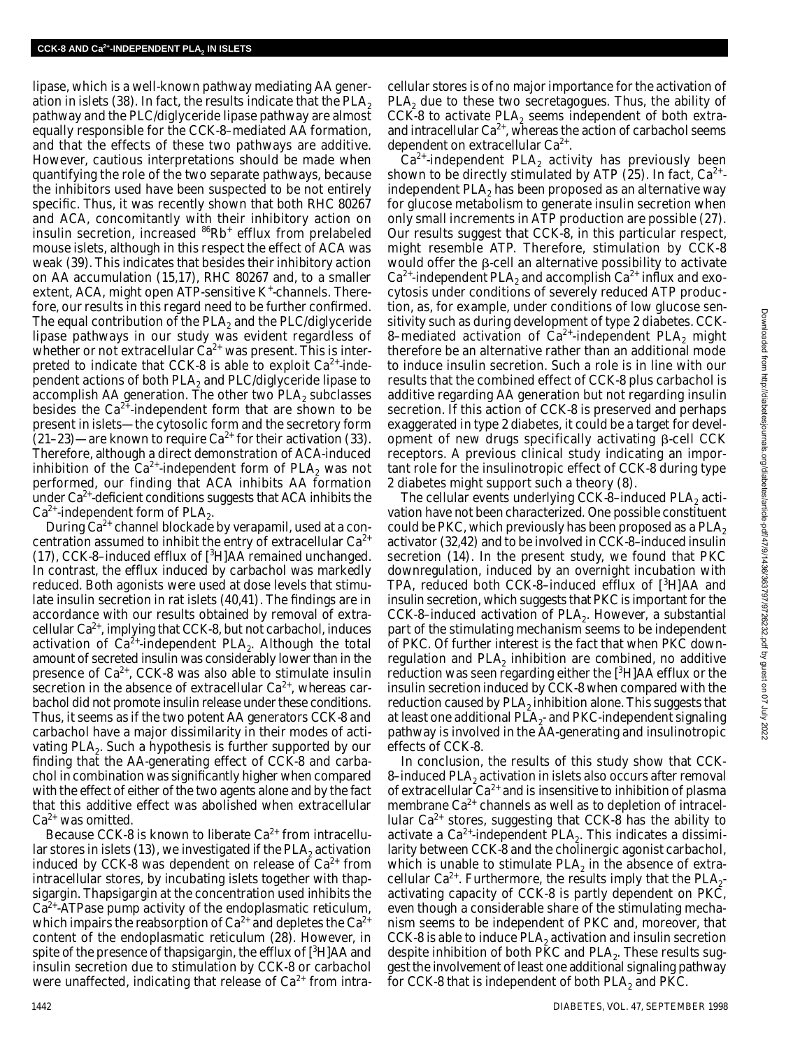lipase, which is a well-known pathway mediating AA generation in islets (38). In fact, the results indicate that the PLA<sub>2</sub> pathway and the PLC/diglyceride lipase pathway are almost equally responsible for the CCK-8–mediated AA formation, and that the effects of these two pathways are additive. However, cautious interpretations should be made when quantifying the role of the two separate pathways, because the inhibitors used have been suspected to be not entirely specific. Thus, it was recently shown that both RHC 80267 and ACA, concomitantly with their inhibitory action on insulin secretion, increased <sup>86</sup>Rb<sup>+</sup> efflux from prelabeled mouse islets, although in this respect the effect of ACA was weak (39). This indicates that besides their inhibitory action on AA accumulation (15,17), RHC 80267 and, to a smaller extent, ACA, might open ATP-sensitive K<sup>+</sup>-channels. Therefore, our results in this regard need to be further confirmed. The equal contribution of the PLA<sub>2</sub> and the PLC/diglyceride lipase pathways in our study was evident regardless of whether or not extracellular  $Ca<sup>2+</sup>$  was present. This is interpreted to indicate that CCK-8 is able to exploit  $Ca<sup>2+</sup>$ -independent actions of both  $PLA_2$  and  $PLC/di$ glyceride lipase to accomplish AA generation. The other two PLA<sub>2</sub> subclasses besides the  $Ca^{2+}$ -independent form that are shown to be present in islets—the cytosolic form and the secretory form  $(21-23)$ —are known to require Ca<sup>2+</sup> for their activation (33). Therefore, although a direct demonstration of ACA-induced inhibition of the Ca<sup>2+</sup>-independent form of PLA<sub>2</sub> was not performed, our finding that ACA inhibits AA formation under  $Ca<sup>2+</sup>$ -deficient conditions suggests that ACA inhibits the  $Ca^{2+}$ -independent form of PLA<sub>2</sub>.

During  $Ca^{2+}$  channel blockade by verapamil, used at a concentration assumed to inhibit the entry of extracellular  $Ca^{2+}$ (17), CCK-8–induced efflux of  $[^3H]$ AA remained unchanged. In contrast, the efflux induced by carbachol was markedly reduced. Both agonists were used at dose levels that stimulate insulin secretion in rat islets (40,41). The findings are in accordance with our results obtained by removal of extracellular Ca<sup>2+</sup>, implying that CCK-8, but not carbachol, induces activation of  $\text{Ca}^{\mathfrak{Z}_+}$ -independent PLA<sub>2</sub>. Although the total amount of secreted insulin was considerably lower than in the presence of  $Ca^{2+}$ , CCK-8 was also able to stimulate insulin secretion in the absence of extracellular  $Ca<sup>2+</sup>$ , whereas carbachol did not promote insulin release under these conditions. Thus, it seems as if the two potent AA generators CCK-8 and carbachol have a major dissimilarity in their modes of activating PLA<sub>2</sub>. Such a hypothesis is further supported by our finding that the AA-generating effect of CCK-8 and carbachol in combination was significantly higher when compared with the effect of either of the two agents alone and by the fact that this additive effect was abolished when extracellular  $Ca<sup>2+</sup>$  was omitted.

Because CCK-8 is known to liberate  $Ca<sup>2+</sup>$  from intracellular stores in islets (13), we investigated if the PLA $_2$  activation induced by CCK-8 was dependent on release of  $Ca^{2+}$  from intracellular stores, by incubating islets together with thapsigargin. Thapsigargin at the concentration used inhibits the  $Ca<sup>2+</sup>$ -ATPase pump activity of the endoplasmatic reticulum, which impairs the reabsorption of  $Ca^{2+}$  and depletes the  $Ca^{2+}$ content of the endoplasmatic reticulum (28). However, in spite of the presence of thapsigargin, the efflux of  $[{}^{3}H]AA$  and insulin secretion due to stimulation by CCK-8 or carbachol were unaffected, indicating that release of  $Ca^{2+}$  from intra-

cellular stores is of no major importance for the activation of PLA<sub>2</sub> due to these two secretagogues. Thus, the ability of CCK-8 to activate  $PLA_2$  seems independent of both extraand intracellular  $Ca^{2+}$ , whereas the action of carbachol seems dependent on extracellular Ca $2+$ .

 $Ca<sup>2+</sup>$ -independent PLA<sub>2</sub> activity has previously been shown to be directly stimulated by ATP (25). In fact,  $Ca^{2+}$ independent  $PLA<sub>2</sub>$  has been proposed as an alternative way for glucose metabolism to generate insulin secretion when only small increments in ATP production are possible (27). Our results suggest that CCK-8, in this particular respect, might resemble ATP. Therefore, stimulation by CCK-8 would offer the  $\beta$ -cell an alternative possibility to activate Ca $^{2+}$ -independent PLA $_{2}$  and accomplish Ca $^{2+}$  influx and exocytosis under conditions of severely reduced ATP production, as, for example, under conditions of low glucose sensitivity such as during development of type 2 diabetes. CCK-8–mediated activation of  $Ca^{2+}$ -independent PLA<sub>2</sub> might therefore be an alternative rather than an additional mode to induce insulin secretion. Such a role is in line with our results that the combined effect of CCK-8 plus carbachol is additive regarding AA generation but not regarding insulin secretion. If this action of CCK-8 is preserved and perhaps exaggerated in type 2 diabetes, it could be a target for development of new drugs specifically activating  $\beta$ -cell CCK receptors. A previous clinical study indicating an important role for the insulinotropic effect of CCK-8 during type 2 diabetes might support such a theory (8).

The cellular events underlying CCK-8-induced PLA<sub>2</sub> activation have not been characterized. One possible constituent could be PKC, which previously has been proposed as a PLA<sub>2</sub> activator (32,42) and to be involved in CCK-8–induced insulin secretion (14). In the present study, we found that PKC downregulation, induced by an overnight incubation with TPA, reduced both CCK-8–induced efflux of  $[3H]AA$  and insulin secretion, which suggests that PKC is important for the CCK-8-induced activation of  $PLA_2$ . However, a substantial part of the stimulating mechanism seems to be independent of PKC. Of further interest is the fact that when PKC downregulation and  $PLA_2$  inhibition are combined, no additive reduction was seen regarding either the  $[{}^{3}H]AA$  efflux or the insulin secretion induced by CCK-8 when compared with the reduction caused by  $\mathsf{PLA}_2$  inhibition alone. This suggests that at least one additional PLA $_2^{\text{-}}$  and PKC-independent signaling pathway is involved in the AA-generating and insulinotropic effects of CCK-8.

In conclusion, the results of this study show that CCK-8–induced PLA $_{\rm 2}$  activation in islets also occurs after removal of extracellular  $Ca^{2+}$  and is insensitive to inhibition of plasma membrane  $Ca^{2+}$  channels as well as to depletion of intracellular  $Ca^{2+}$  stores, suggesting that CCK-8 has the ability to activate a Ca<sup>2+</sup>-independent PLA<sub>2</sub>. This indicates a dissimilarity between CCK-8 and the cholinergic agonist carbachol, which is unable to stimulate  $PLA_2$  in the absence of extracellular Ca<sup>2+</sup>. Furthermore, the results imply that the PLA<sub>2</sub>activating capacity of CCK-8 is partly dependent on PKC, even though a considerable share of the stimulating mechanism seems to be independent of PKC and, moreover, that CCK-8 is able to induce PLA $_2$  activation and insulin secretion despite inhibition of both PKC and PLA $_2\!$ . These results suggest the involvement of least one additional signaling pathway for CCK-8 that is independent of both PLA $_2$  and PKC.